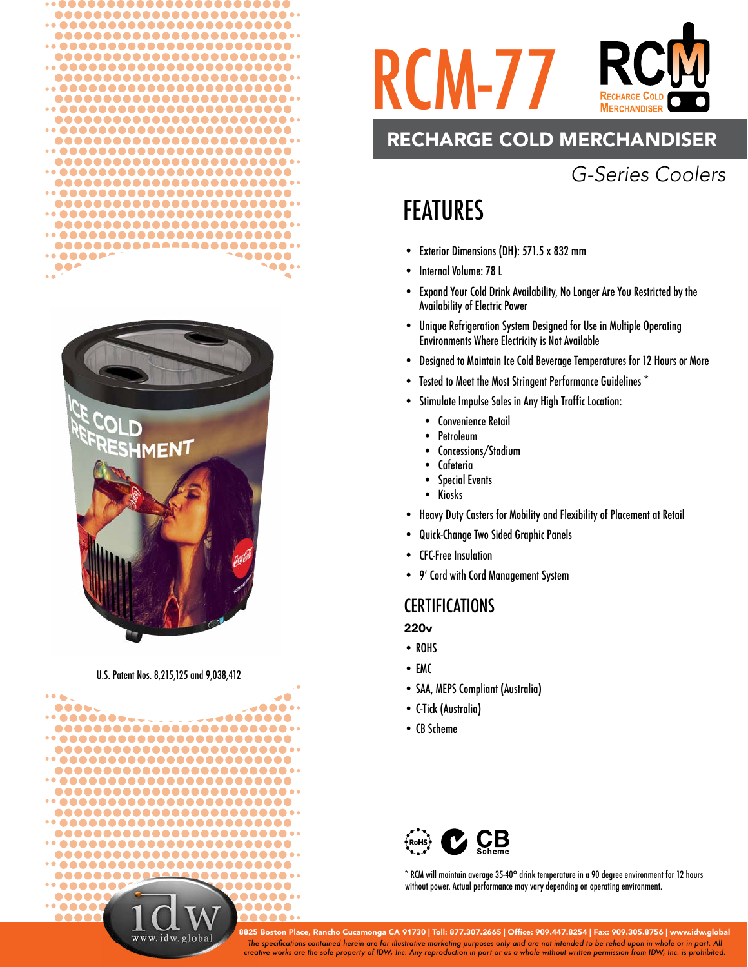



### U.S. Patent Nos. 8,215,125 and 9,038,412





# RECHARGE COLD MERCHANDISER

# *G-Series Coolers*

# FEATURES

- Exterior Dimensions (DH): 571.5 x 832 mm
- Internal Volume: 78 L
- Expand Your Cold Drink Availability, No Longer Are You Restricted by the Availability of Electric Power
- Unique Refrigeration System Designed for Use in Multiple Operating Environments Where Electricity is Not Available
- Designed to Maintain Ice Cold Beverage Temperatures for 12 Hours or More
- Tested to Meet the Most Stringent Performance Guidelines \*
- Stimulate Impulse Sales in Any High Traffic Location:
	- Convenience Retail
	- Petroleum
	- Concessions/Stadium
	- **Cafeteria**
	- Special Events
	- Kiosks
- Heavy Duty Casters for Mobility and Flexibility of Placement at Retail
- Quick-Change Two Sided Graphic Panels
- CFC-Free Insulation
- 9' Cord with Cord Management System

### **CERTIFICATIONS**

### 220v

- ROHS
- EMC
- SAA, MEPS Compliant (Australia)
- C-Tick (Australia)
- CB Scheme



\* RCM will maintain average 35-40° drink temperature in a 90 degree environment for 12 hours without power. Actual performance may vary depending on operating environment.

*The specifi cations contained herein are for illustrative marketing purposes only and are not intended to be relied upon in whole or in part. All creative works are the sole property of IDW, Inc. Any reproduction in part or as a whole without written permission from IDW, Inc. is prohibited.* 8825 Boston Place, Rancho Cucamonga CA 91730 | Toll: 877.307.2665 | Office: 909.447.8254 | Fax: 909.305.8756 | www.idw.global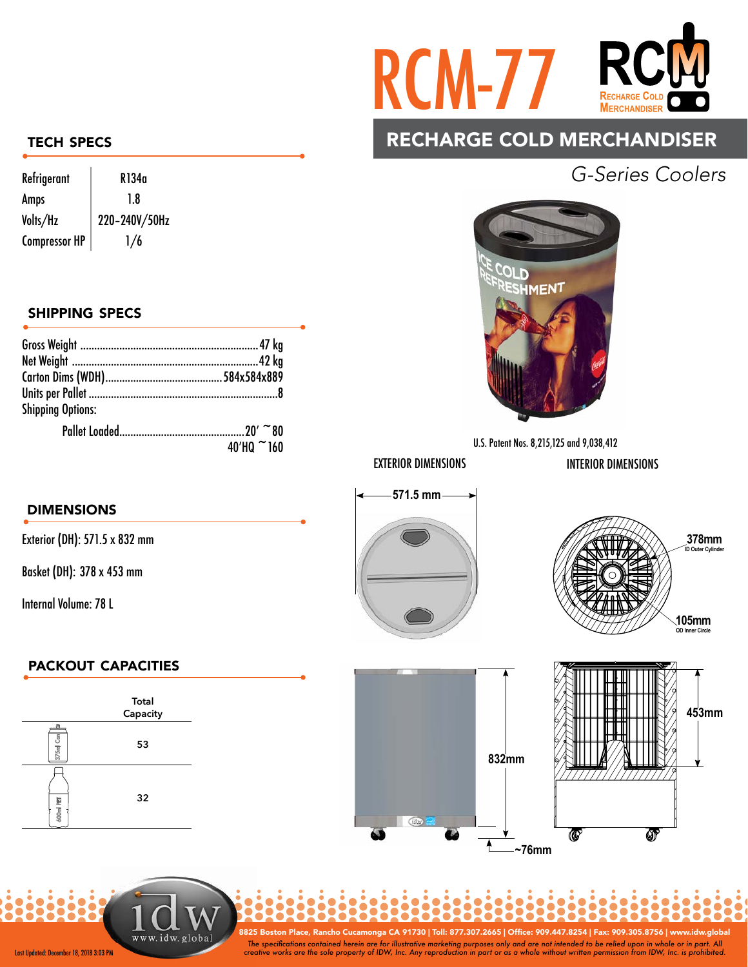

## RECHARGE COLD MERCHANDISER

# *G-Series Coolers*



### TECH SPECS

| Refrigerant          | R134a         |
|----------------------|---------------|
| Amps                 | 1.8           |
| Volts/Hz             | 220-240V/50Hz |
| <b>Compressor HP</b> | 1/6           |

### SHIPPING SPECS

| <b>Shipping Options:</b> |            |
|--------------------------|------------|
|                          |            |
|                          | 40'HQ ~160 |
|                          |            |

### DIMENSIONS

Exterior (DH): 571.5 x 832 mm

Basket (DH): 378 x 453 mm

Internal Volume: 78 L

## PACKOUT CAPACITIES



www.idw.glob

Last Updated: December 18, 2018 3:03 PM

The specifications contained herein are for illustrative marketing purposes only and are not intended to be relied upon in whole or in part. All<br>Creative works are the sole property of IDW, Inc. Any reproduction in part or 8825 Boston Place, Rancho Cucamonga CA 91730 | Toll: 877.307.2665 | Offi ce: 909.447.8254 | Fax: 909.305.8756 | www.idw.global